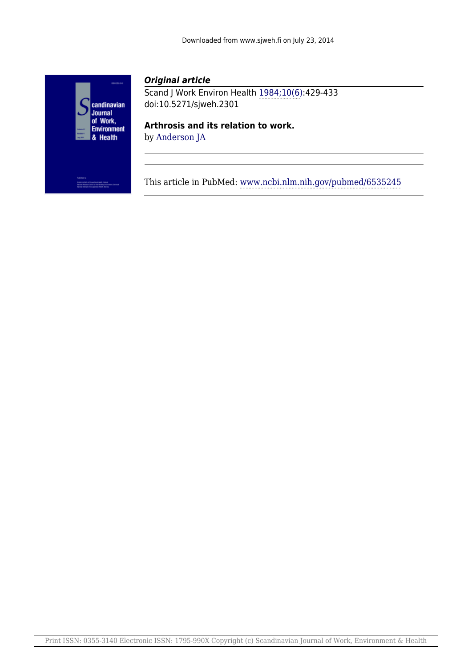

# *Original article*

Scand J Work Environ Health [1984;10\(6\):](http://www.sjweh.fi/show_issue.php?issue_id=211)429-433 doi:10.5271/sjweh.2301

**Arthrosis and its relation to work.**

by [Anderson JA](http://www.sjweh.fi/show_abstract.php?author_id=5110)

This article in PubMed: [www.ncbi.nlm.nih.gov/pubmed/6535245](http://www.ncbi.nlm.nih.gov/pubmed/6535245)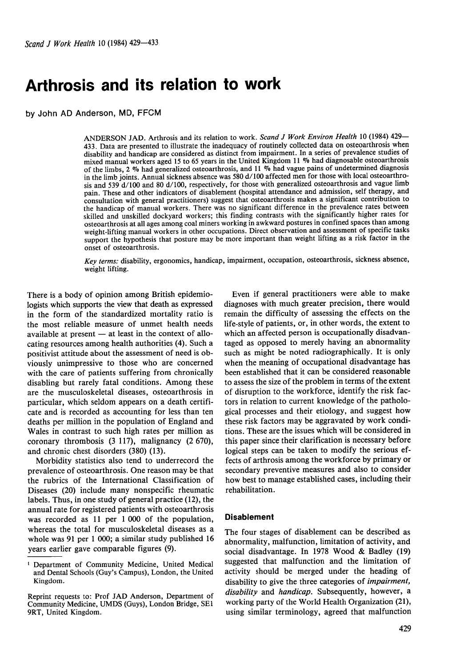# **Arthrosis and its relation to work**

by John AD Anderson, MD, FFCM

ANDERSON JAD. Arthrosis and its relation to work. *Scand* J *Work Environ Health* 10 (1984) 429- 433. Data are presented to illustrate the inadequacy of routinely collected data on osteoarthrosis when disability and handicap are considered as distinct from impairment. In a series of prevalence studies of mixed manual workers aged 15 to 65 years in the United Kingdom 11 **Vo** had diagnosable osteoarthrosis of the limbs, 2 **Vo** had generalized osteoarthrosis, and 11 **Vo** had vague pains of undetermined diagnosis in the limb joints. Annual sickness absence was 580 d/100 affected men for those with local osteoarthrosis and 539 d/100 and 80 d/100, respectively, for those with generalized osteoarthrosis and vague limb pain. These and other indicators of disablement (hospital attendance and admission, self therapy, and consultation with general practitioners) suggest that osteoarthrosis makes a significant contribution to the handicap of manual workers. There was no significant difference in the prevalence rates between skilled and unskilled dockyard workers; this finding contrasts with the significantly higher rates for osteoarthrosis at all ages among coal miners working in awkward postures in confined spaces than among weight-lifting manual workers in other occupations. Direct observation and assessment of specific tasks support the hypothesis that posture may be more important than weight lifting as a risk factor in the onset of osteoarthrosis.

*Key terms:* disability, ergonomics, handicap, impairment, occupation, osteoarthrosis, sickness absence, weight lifting.

There is a body of opinion among British epidemiologists which supports the view that death as expressed in the form of the standardized mortality ratio is n the form of the standardized mortality ratio is<br>the most reliable measure of unmet health needs<br>available at present — at least in the context of allocating resources among health authorities (4). Such a positivist attitude about the assessment of need is obviously unimpressive to those who are concerned with the care of patients suffering from chronically disabling but rarely fatal conditions. Among these are the musculoskeletal diseases, osteoarthrosis in particular, which seldom appears on a death certificate and is recorded as accounting for less than ten deaths per million in the population of England and Wales in contrast to such high rates per million as coronary thrombosis **(3 117),** malignancy **(2 670),**  and chronic chest disorders **(380) (13).** 

Morbidity statistics also tend to underrecord the prevalence of osteoarthrosis. One reason may be that the rubrics of the International Classification of Diseases **(20)** include many nonspecific rheumatic labels. Thus, in one study of general practice **(12),** the annual rate for registered patients with osteoarthrosis was recorded as **11** per **1 000** of the population, whereas the total for musculoskeletal diseases as a whole was **91** per **1 000;** a similar study published **16**  years earlier gave comparable figures **(9).** 

Even if general practitioners were able to make diagnoses with much greater precision, there would remain the difficulty of assessing the effects on the life-style of patients, or, in other words, the extent to which an affected person is occupationally disadvantaged as opposed to merely having an abnormality such as might be noted radiographically. It is only when the meaning of occupational disadvantage has been established that it can be considered reasonable to assess the size of the problem in terms of the extent of disruption to the workforce, identify the risk factors in relation to current knowledge of the pathological processes and their etiology, and suggest how these risk factors may be aggravated by work conditions. These are the issues which will be considered in this paper since their clarification is necessary before logical steps can be taken to modify the serious effects of arthrosis among the workforce by primary or secondary preventive measures and also to consider how best to manage established cases, including their rehabilitation.

#### **Disablement**

The four stages of disablement can be described as abnormality, malfunction, limitation of activity, and social disadvantage. In **1978** Wood & Badley **(19)**  suggested that malfunction and the limitation of activity should be merged under the heading of disability to give the three categories of *impairment, disability* and *handicap.* Subsequently, however, a working party of the World Health Organization **(21),**  using similar terminology, agreed that malfunction

<sup>&#</sup>x27; Department of Community Medicine, United Medical and Dental Schools (Guy's Campus), London, the United Kingdom.

Reprint requests to: Prof JAD Anderson, Department of Community Medicine, UMDS (Guys), London Bridge, SE1 9RT, United Kingdom.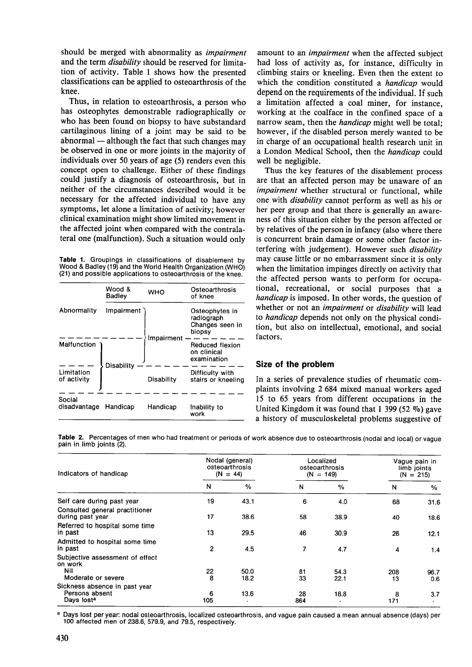should be merged with abnormality as *impairment* amount to an *impairment* when the affected subject and the term *disability* should be reserved for limita- had loss of activity as, for instance, difficulty in tion of activity. Table 1 shows how the presented classifications can be applied to osteoarthrosis of the knee.

Thus, in relation to osteoarthrosis, a person who has osteophytes demonstrable radiographically or who has been found on biopsy to have substandard cartilaginous lining of a joint may be said to be abnormal - although the fact that such changes may be observed in one or more joints in the majority of individuals over 50 years of age (5) renders even this concept open to challenge. Either of these findings could justify a diagnosis of osteoarthrosis, but in neither of the circumstances described would it be necessary for the affected individual to have any symptoms, let alone a limitation of activity; however clinical examination might show limited movement in the affected joint when compared with the contralateral one (malfunction). Such a situation would only

Table 1. Groupings in classifications of disablement by Wood & Badiey (19) and the World Health Organization (WHO) (21) and possible applications to osteoarthrosis of the knee.

|                           | Wood &<br>Badley | <b>WHO</b> | Osteoarthrosis<br>of knee                                 |  |  |
|---------------------------|------------------|------------|-----------------------------------------------------------|--|--|
| Abnormality               | Impairment       |            | Osteophytes in<br>radiograph<br>Changes seen in<br>biopsy |  |  |
| Malfunction               | Disability       | Impairment | Reduced flexion<br>on clinical<br>examination             |  |  |
| Limitation<br>of activity |                  | Disability | Difficulty with<br>stairs or kneeling                     |  |  |
| Social<br>disadvantage    | Handicap         | Handicap   | Inability to<br>work                                      |  |  |

had loss of activity as, for instance, difficulty in climbing stairs or kneeling. Even then the extent to which the condition constituted a *handicap* would depend on the requirements of the individual. If such a limitation affected a coal miner, for instance, working at the coalface in the confined space of a narrow seam, then the *handicap* might well be total; however, if the disabled person merely wanted to be in charge of an occupational health research unit in a London Medical School, then the *handicap* could well be negligible.

Thus the key features of the disablement process are that an affected person may be unaware of an *impairment* whether structural or functional, while one with *disability* cannot perform as well as his or her peer group and that there is generally an awareness of this situation either by the person affected or by relatives of the person in infancy (also where there is concurrent brain damage or some other factor interfering with judgement). However such *disability*  may cause little or no embarrassment since it is only when the limitation impinges directly on activity that the affected person wants to perform for occupational, recreational, or social purposes that a *handicap* is imposed. In other words, the question of whether or not an *impairment* or *disability* will lead to *handicap* depends not only on the physical condition, but also on intellectual, emotional, and social factors.

# **Size of the problem**

In a series of prevalence studies of rheumatic complaints involving 2 684 mixed manual workers aged 15 to 65 years from different occupations in the United Kingdom it was found that 1 **399** (52 %) gave a history of musculoskeletal problems suggestive of

Table **2.** Percentages of men who had treatment or periods of work absence due to osteoarthrosis (nodal and local) or vague pain in limb joints (2).

| Indicators of handicap                                                    |          | Nodal (general)<br>osteoarthrosis<br>$(N = 44)$ |           | Localized<br>osteoarthrosis<br>$(N = 149)$ | Vague pain in<br>limb joints<br>$(N = 215)$ |                |
|---------------------------------------------------------------------------|----------|-------------------------------------------------|-----------|--------------------------------------------|---------------------------------------------|----------------|
|                                                                           | N        | $\frac{0}{0}$                                   | N         | %                                          | N                                           | %              |
| Self care during past year                                                | 19       | 43.1                                            | 6         | 4.0                                        | 68                                          | 31.6           |
| Consulted general practitioner<br>during past year                        | 17       | 38.6                                            | 58        | 38.9                                       | 40                                          | 18.6           |
| Referred to hospital some time<br>in past                                 | 13       | 29.5                                            | 46        | 30.9                                       | 26                                          | 12.1           |
| Admitted to hospital some time<br>in past                                 | 2        | 4.5                                             | 7         | 4.7                                        | 4                                           | 1.4            |
| Subjective assessment of effect<br>on work                                |          |                                                 |           |                                            |                                             |                |
| Nil<br>Moderate or severe                                                 | 22<br>8  | 50.0<br>18.2                                    | 81<br>33  | 54.3<br>22.1                               | 208<br>13                                   | 96.7<br>0.6    |
| Sickness absence in past year<br>Persons absent<br>Days lost <sup>a</sup> | 6<br>105 | 13.6                                            | 28<br>864 | 18.8                                       | 8<br>171                                    | 3.7<br>$\cdot$ |

a Days lost per year: nodal osteoarthrosis, localized osteoarthrosis, and vague pain caused a mean annual absence (days) per 100 affected men of 238.6, 579.9, and 79.5, respectively.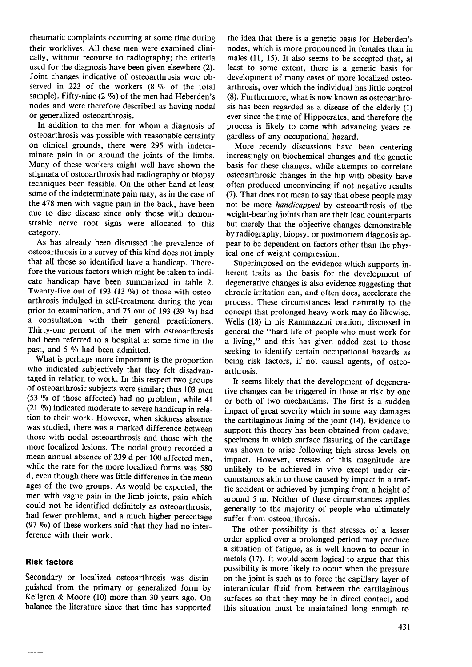rheumatic complaints occurring at some time during their worklives. All these men were examined clinically, without recourse to radiography; the criteria used for the diagnosis have been given elsewhere (2). Joint changes indicative of osteoarthrosis were observed in 223 of the workers (8 % of the total sample). Fifty-nine  $(2 \%)$  of the men had Heberden's nodes and were therefore described as having nodal or generalized osteoarthrosis.

In addition to the men for whom a diagnosis of osteoarthrosis was possible with reasonable certainty on clinical grounds, there were 295 with indeterminate pain in or around the joints of the limbs. Many of these workers might well have shown the stigmata of osteoarthrosis had radiography or biopsy techniques been feasible. On the other hand at least some of the indeterminate pain may, as in the case of the 478 men with vague pain in the back, have been due to disc disease since only those with demonstrable nerve root signs were allocated to this category.

As has already been discussed the prevalence of osteoarthrosis in a survey of this kind does not imply that all those so identified have a handicap. Therefore the various factors which might be taken to indicate handicap have been summarized in table 2. Twenty-five out of 193 (13  $\%$ ) of those with osteoarthrosis indulged in self-treatment during the year prior to examination, and 75 out of 193 (39  $\%$ ) had a consultation with their general practitioners. Thirty-one percent of the men with osteoarthrosis had been referred to a hospital at some time in the past, and 5 % had been admitted.

What is perhaps more important is the proportion who indicated subjectively that they felt disadvantaged in relation to work. In this respect two groups of osteoarthrosic subjects were similar; thus 103 men (53  $\%$  of those affected) had no problem, while 41 (21 %) indicated moderate to severe handicap in relation to their work. However, when sickness absence was studied, there was a marked difference between those with nodal osteoarthrosis and those with the more localized lesions. The nodal group recorded a mean annual absence of 239 d per 100 affected men, while the rate for the more localized forms was 580 d, even though there was little difference in the mean ages of the two groups. As would be expected, the men with vague pain in the limb joints, pain which could not be identified definitely as osteoarthrosis, had fewer problems, and a much higher percentage (97  $\%$ ) of these workers said that they had no interference with their work.

## **Risk factors**

Secondary or localized osteoarthrosis was distinguished from the primary or generalized form by Kellgren & Moore (10) more than 30 years ago. On balance the literature since that time has supported

the idea that there is a genetic basis for Heberden's nodes, which is more pronounced in females than in males (11, 15). It also seems to be accepted that, at least to some extent, there is a genetic basis for development of many cases of more localized osteoarthrosis, over which the individual has little control (8). Furthermore, what is now known as osteoarthrosis has been regarded as a disease of the elderly (1) ever since the time of Hippocrates, and therefore the process is likely to come with advancing years regardless of any occupational hazard.

More recently discussions have been centering increasingly on biochemical changes and the genetic basis for these changes, while attempts to correlate osteoarthrosic changes in the hip with obesity have often produced unconvincing if not negative results (7). That does not mean to say that obese people may not be more *handicapped* by osteoarthrosis of the weight-bearing joints than are their lean counterparts but merely that the objective changes demonstrable by radiography, biopsy, or postmortem diagnosis appear to be dependent on factors other than the physical one of weight compression.

Superimposed on the evidence which supports inherent traits as the basis for the development of degenerative changes is also evidence suggesting that chronic irritation can, and often does, accelerate the process. These circumstances lead naturally to the concept that prolonged heavy work may do likewise. Wells (18) in his Rammazzini oration, discussed in general the "hard life of people who must work for a living," and this has given added zest to those seeking to identify certain occupational hazards as being risk factors, if not causal agents, of osteoarthrosis.

It seems likely that the development of degenerative changes can be triggered in those at risk by one or both of two mechanisms. The first is a sudden impact of great severity which in some way damages the cartilaginous lining of the joint (14). Evidence to support- this theory has been obtained from cadaver specimens in which surface fissuring of the cartilage was shown to arise following high stress levels on impact. However, stresses of this magnitude are unlikely to be achieved in vivo except under circumstances akin to those caused by impact in a traffic accident or achieved by jumping from a height of around 5 m. Neither of these circumstances applies generally to the majority of people who ultimately suffer from osteoarthrosis.

The other possibility is that stresses of a lesser order applied over a prolonged period may produce a situation of fatigue, as is well known to occur in metals (17). It would seem logical to argue that this possibility is more likely to occur when the pressure on the joint is such as to force the capillary layer of interarticular fluid from between the cartilaginous surfaces so that they may be in direct contact, and this situation must be maintained long enough to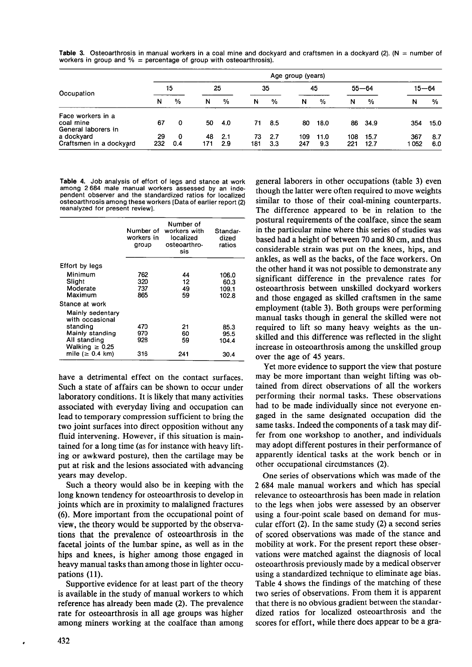**Table 3.** Osteoarthrosis in manual workers in a coal mine and dockyard and craftsmen in a dockyard (2). (N = number of workers in group and  $%$  = percentage of group with osteoarthrosis).

|                                                       |           |          |           |            |           |            | Age group (years) |               |            |               |            |            |  |
|-------------------------------------------------------|-----------|----------|-----------|------------|-----------|------------|-------------------|---------------|------------|---------------|------------|------------|--|
| Occupation                                            | 15        |          | 25        |            | 35        |            | 45                |               | $55 - 64$  |               |            | $15 - 64$  |  |
|                                                       | N         | $\%$     | N         | %          | N         | %          | N                 | $\frac{0}{2}$ | N          | $\frac{0}{0}$ | N          | %          |  |
| Face workers in a<br>coal mine<br>General laborers in | 67        | 0        | 50        | -4.0       | 71        | - 8.5      | 80                | 18.0          |            | 86 34.9       | 354        | 15.0       |  |
| a dockyard<br>Craftsmen in a dockyard                 | 29<br>232 | 0<br>0.4 | 48<br>171 | 2.1<br>2.9 | 73<br>181 | 2.7<br>3.3 | 109<br>247        | 11.0<br>9.3   | 108<br>221 | 15.7<br>12.7  | 367<br>052 | 8.7<br>6.0 |  |

**Table 4.** Job analysis of effort of legs and stance at work among 2684 male manual workers assessed by an independent observer and the standardized ratios for localized osteoarthrosis among these workers [Dataof earlier report (2) reanalyzed for present review].

|                                                       | Number of<br>workers in<br>group | Number of<br>workers with<br>localized<br>osteoarthro-<br>sis | Standar-<br>dized<br>ratios     |
|-------------------------------------------------------|----------------------------------|---------------------------------------------------------------|---------------------------------|
| Effort by legs                                        |                                  |                                                               |                                 |
| Minimum<br>Slight<br>Moderate<br>Maximum              | 762<br>320<br>737<br>865         | 44<br>12<br>49<br>59                                          | 106.0<br>60.3<br>109.1<br>102.8 |
| Stance at work<br>Mainly sedentary<br>with occasional |                                  |                                                               |                                 |
| standing<br>Mainly standing<br>All standing           | 470<br>970<br>928                | 21<br>60<br>59                                                | 85.3<br>95.5<br>104.4           |
| Walking $\geq 0.25$<br>mile ( $\geq 0.4$ km)          | 316                              | 241                                                           | 30.4                            |

have a detrimental effect on the contact surfaces. Such a state of affairs can be shown to occur under laboratory conditions. It is likely that many activities associated with everyday living and occupation can lead to temporary compression sufficient to bring the two joint surfaces into direct opposition without any fluid intervening. However, if this situation is maintained for a long time (as for instance with heavy lifting or awkward posture), then the cartilage may be put at risk and the lesions associated with advancing years may develop.

Such a theory would also be in keeping with the long known tendency for osteoarthrosis to develop in joints which are in proximity to malaligned fractures *(6).* More important from the occupational point of view, the theory would be supported by the observations that the prevalence of osteoarthrosis in the facetal joints of the lumbar spine, as well as in the hips and knees, is higher among those engaged in heavy manual tasks than among those in lighter occupations (11).

Supportive evidence for at least part of the theory is available in the study of manual workers to which reference has already been made (2). The prevalence rate for osteoarthrosis in all age groups was higher among miners working at the coalface than among

general laborers in other occupations (table 3) even though the latter were often required to move weights similar to those of their coal-mining counterparts. The difference appeared to be in relation to the postural requirements of the coalface, since the seam in the particular mine where this series of studies was based had a height of between **70** and **80** cm, and thus considerable strain was put on the knees, hips, and ankles, as well as the backs, of the face workers. On the other hand it was not possible to demonstrate any significant difference in the prevalence rates for osteoarthrosis between unskilled dockyard workers and those engaged as skilled craftsmen in the same employment (table 3). Both groups were performing manual tasks though in general the skilled were not required to lift so many heavy weights as the unskilled and this difference was reflected in the slight increase in osteoarthrosis among the unskilled group over the age of **45** years.

Yet more evidence to support the view that posture may be more important than weight lifting was obtained from direct observations of all the workers performing their normal tasks. These observations had to be made individually since not everyone engaged in the same designated occupation did the same tasks. Indeed the components of a task may differ from one workshop to another, and individuals may adopt different postures in their performance of apparently identical tasks at the work bench or in other occupational circumstances (2).

One series of observations which was made of the 2 **684** male manual workers and which has special relevance to osteoarthrosis has been made in relation to the legs when jobs were assessed by an observer using a four-point scale based on demand for muscular effort **(2).** In the same study (2) a second series of scored observations was made of the stance and mobility at work. For the present report these observations were matched against the diagnosis of local osteoarthrosis previously made by a medical observer using a standardized technique to eliminate age bias. Table **4** shows the findings of the matching of these two series of observations. From them it is apparent that there is no obvious gradient between the standardized ratios for localized osteoarthrosis and the scores for effort, while there does appear to be a gra